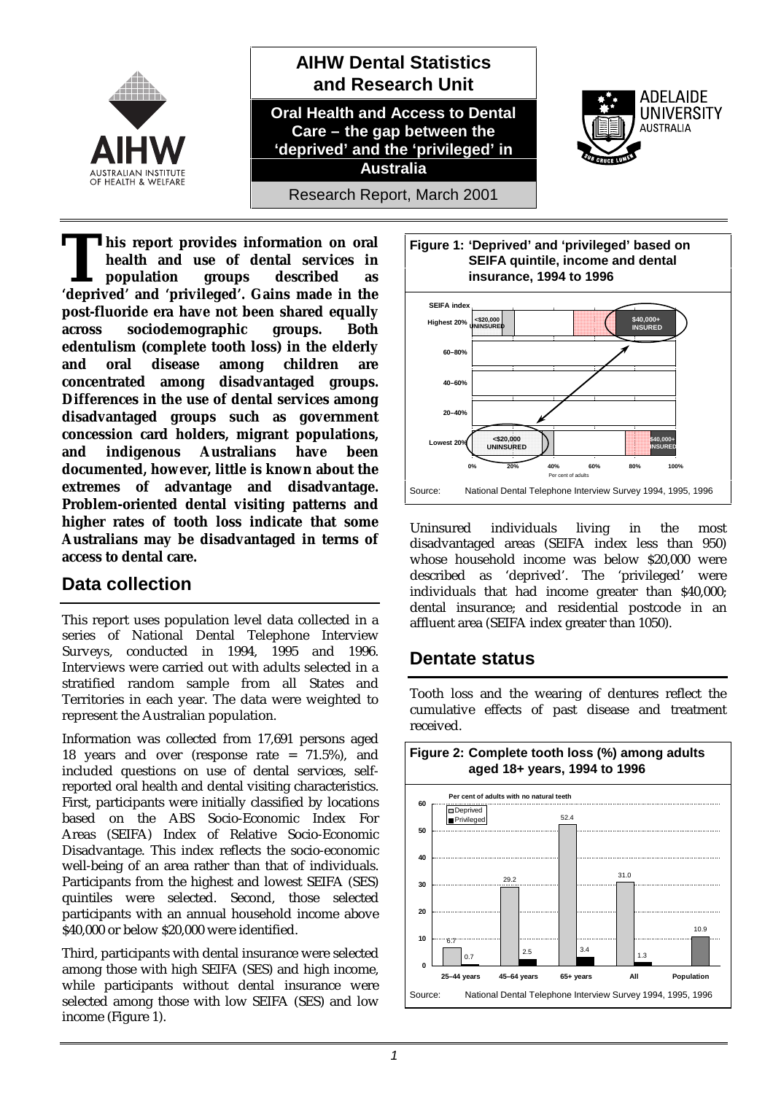

**his report provides information on oral health and use of dental services in population groups described as 1** his report provides information on oral health and use of dental services in population groups described as 'deprived' and 'privileged'. Gains made in the **post-fluoride era have not been shared equally across sociodemographic groups. Both edentulism (complete tooth loss) in the elderly and oral disease among children are concentrated among disadvantaged groups. Differences in the use of dental services among disadvantaged groups such as government concession card holders, migrant populations, and indigenous Australians have been documented, however, little is known about the extremes of advantage and disadvantage. Problem-oriented dental visiting patterns and higher rates of tooth loss indicate that some Australians may be disadvantaged in terms of access to dental care.**

# **Data collection**

This report uses population level data collected in a series of National Dental Telephone Interview Surveys, conducted in 1994, 1995 and 1996. Interviews were carried out with adults selected in a stratified random sample from all States and Territories in each year. The data were weighted to represent the Australian population.

Information was collected from 17,691 persons aged 18 years and over (response rate = 71.5%), and included questions on use of dental services, selfreported oral health and dental visiting characteristics. First, participants were initially classified by locations based on the ABS Socio-Economic Index For Areas (SEIFA) Index of Relative Socio-Economic Disadvantage. This index reflects the socio-economic well-being of an area rather than that of individuals. Participants from the highest and lowest SEIFA (SES) quintiles were selected. Second, those selected participants with an annual household income above \$40,000 or below \$20,000 were identified.

Third, participants with dental insurance were selected among those with high SEIFA (SES) and high income, while participants without dental insurance were selected among those with low SEIFA (SES) and low income (Figure 1).



Uninsured individuals living in the most disadvantaged areas (SEIFA index less than 950) whose household income was below \$20,000 were described as 'deprived'. The 'privileged' were individuals that had income greater than \$40,000; dental insurance; and residential postcode in an affluent area (SEIFA index greater than 1050).

### **Dentate status**

Tooth loss and the wearing of dentures reflect the cumulative effects of past disease and treatment received.

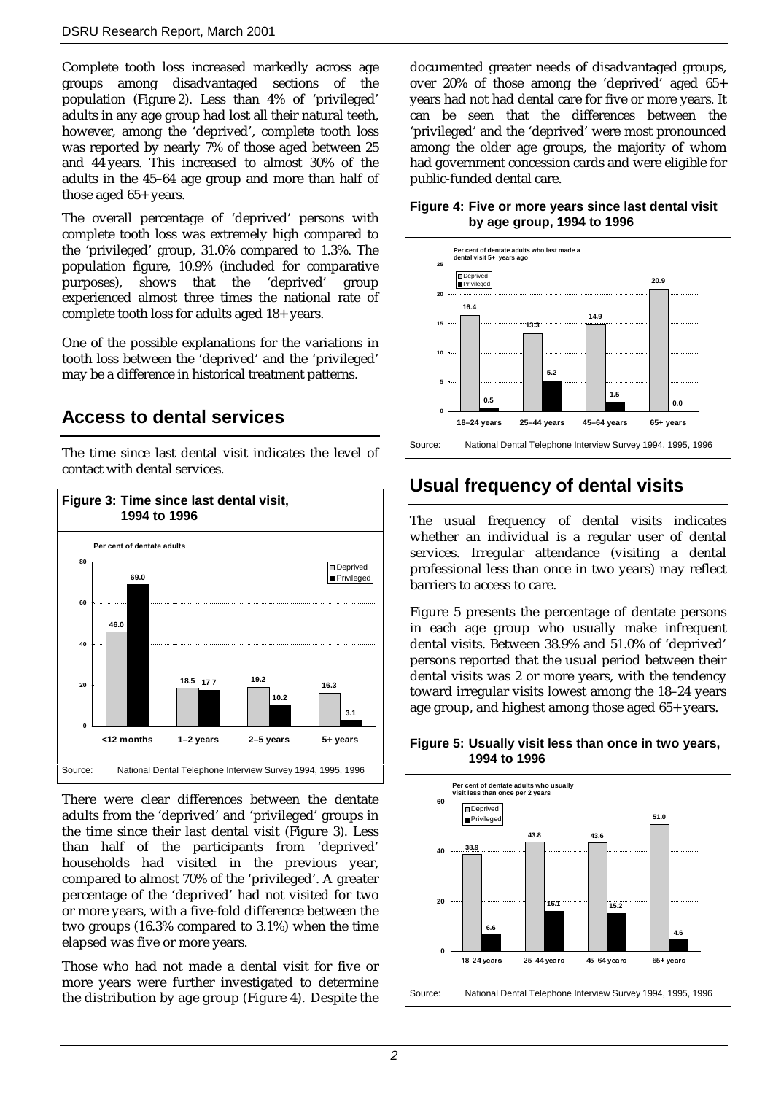Complete tooth loss increased markedly across age groups among disadvantaged sections of the population (Figure 2). Less than 4% of 'privileged' adults in any age group had lost all their natural teeth, however, among the 'deprived', complete tooth loss was reported by nearly 7% of those aged between 25 and 44 years. This increased to almost 30% of the adults in the 45–64 age group and more than half of those aged 65+ years.

The overall percentage of 'deprived' persons with complete tooth loss was extremely high compared to the 'privileged' group, 31.0% compared to 1.3%. The population figure, 10.9% (included for comparative purposes), shows that the 'deprived' group experienced almost three times the national rate of complete tooth loss for adults aged 18+ years.

One of the possible explanations for the variations in tooth loss between the 'deprived' and the 'privileged' may be a difference in historical treatment patterns.

# **Access to dental services**

The time since last dental visit indicates the level of contact with dental services.



There were clear differences between the dentate adults from the 'deprived' and 'privileged' groups in the time since their last dental visit (Figure 3). Less than half of the participants from 'deprived' households had visited in the previous year, compared to almost 70% of the 'privileged'. A greater percentage of the 'deprived' had not visited for two or more years, with a five-fold difference between the two groups (16.3% compared to 3.1%) when the time elapsed was five or more years.

Those who had not made a dental visit for five or more years were further investigated to determine the distribution by age group (Figure 4). Despite the

documented greater needs of disadvantaged groups, over 20% of those among the 'deprived' aged 65+ years had not had dental care for five or more years. It can be seen that the differences between the 'privileged' and the 'deprived' were most pronounced among the older age groups, the majority of whom had government concession cards and were eligible for public-funded dental care.



#### **Figure 4: Five or more years since last dental visit by age group, 1994 to 1996**

# **Usual frequency of dental visits**

The usual frequency of dental visits indicates whether an individual is a regular user of dental services. Irregular attendance (visiting a dental professional less than once in two years) may reflect barriers to access to care.

Figure 5 presents the percentage of dentate persons in each age group who usually make infrequent dental visits. Between 38.9% and 51.0% of 'deprived' persons reported that the usual period between their dental visits was 2 or more years, with the tendency toward irregular visits lowest among the 18–24 years age group, and highest among those aged 65+ years.

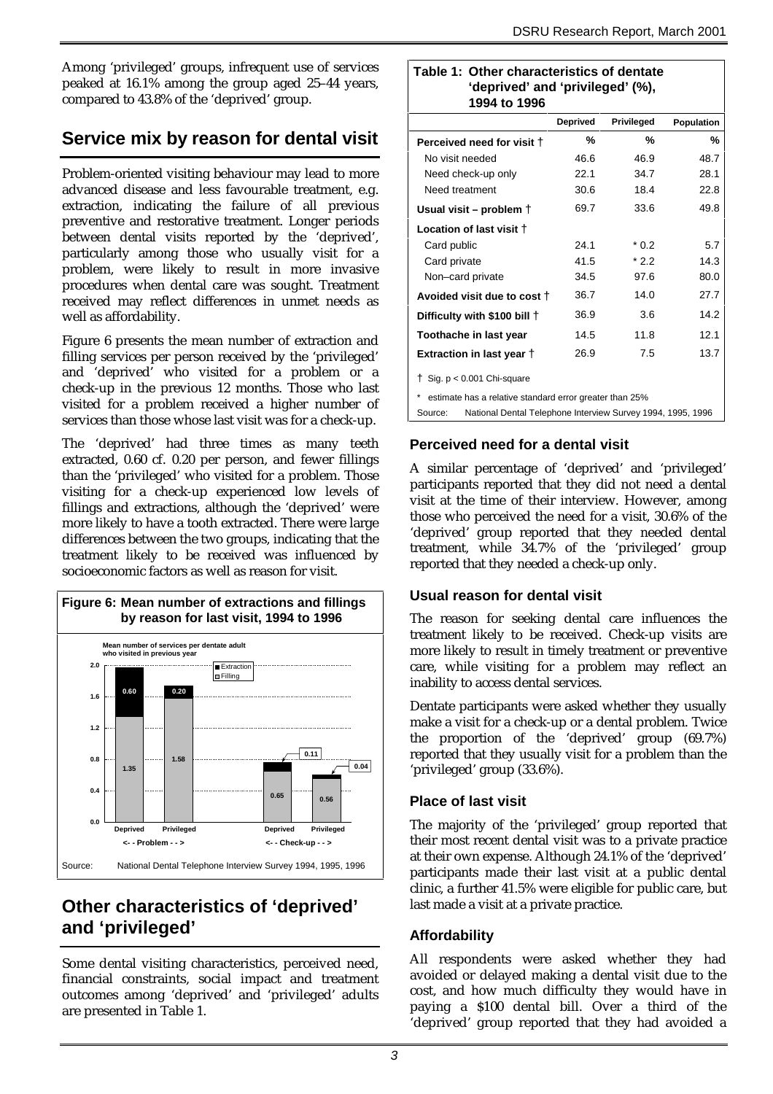Among 'privileged' groups, infrequent use of services peaked at 16.1% among the group aged 25–44 years, compared to 43.8% of the 'deprived' group.

# **Service mix by reason for dental visit**

Problem-oriented visiting behaviour may lead to more advanced disease and less favourable treatment, e.g. extraction, indicating the failure of all previous preventive and restorative treatment. Longer periods between dental visits reported by the 'deprived', particularly among those who usually visit for a problem, were likely to result in more invasive procedures when dental care was sought. Treatment received may reflect differences in unmet needs as well as affordability.

Figure 6 presents the mean number of extraction and filling services per person received by the 'privileged' and 'deprived' who visited for a problem or a check-up in the previous 12 months. Those who last visited for a problem received a higher number of services than those whose last visit was for a check-up.

The 'deprived' had three times as many teeth extracted, 0.60 cf. 0.20 per person, and fewer fillings than the 'privileged' who visited for a problem. Those visiting for a check-up experienced low levels of fillings and extractions, although the 'deprived' were more likely to have a tooth extracted. There were large differences between the two groups, indicating that the treatment likely to be received was influenced by socioeconomic factors as well as reason for visit.



# **Other characteristics of 'deprived' and 'privileged'**

Some dental visiting characteristics, perceived need, financial constraints, social impact and treatment outcomes among 'deprived' and 'privileged' adults are presented in Table 1.

### **Table 1: Other characteristics of dentate 'deprived' and 'privileged' (%), 1994 to 1996**

|                                                                        | <b>Deprived</b> | Privileged | <b>Population</b> |  |
|------------------------------------------------------------------------|-----------------|------------|-------------------|--|
| Perceived need for visit †                                             | %               | %          | %                 |  |
| No visit needed                                                        | 46.6            | 46.9       | 48.7              |  |
| Need check-up only                                                     | 22.1            | 34.7       | 28.1              |  |
| Need treatment                                                         | 30.6            | 18.4       | 22.8              |  |
| Usual visit – problem $\dagger$                                        | 69.7            | 33.6       | 49.8              |  |
| Location of last visit +                                               |                 |            |                   |  |
| Card public                                                            | 24.1            | $*0.2$     | 5.7               |  |
| Card private                                                           | 41.5            | $*2.2$     | 14.3              |  |
| Non-card private                                                       | 34.5            | 97.6       | 80.0              |  |
| Avoided visit due to cost †                                            | 36.7            | 14.0       | 27.7              |  |
| Difficulty with \$100 bill $\dagger$                                   | 36.9            | 3.6        | 14.2              |  |
| Toothache in last year                                                 | 14.5            | 11.8       | 12.1              |  |
| Extraction in last year †                                              | 26.9            | 7.5        | 13.7              |  |
| $\dagger$ Sig. p < 0.001 Chi-square                                    |                 |            |                   |  |
| estimate has a relative standard error greater than 25%                |                 |            |                   |  |
| National Dental Telephone Interview Survey 1994, 1995, 1996<br>Source: |                 |            |                   |  |

### **Perceived need for a dental visit**

A similar percentage of 'deprived' and 'privileged' participants reported that they did not need a dental visit at the time of their interview. However, among those who perceived the need for a visit, 30.6% of the 'deprived' group reported that they needed dental treatment, while 34.7% of the 'privileged' group reported that they needed a check-up only.

### **Usual reason for dental visit**

The reason for seeking dental care influences the treatment likely to be received. Check-up visits are more likely to result in timely treatment or preventive care, while visiting for a problem may reflect an inability to access dental services.

Dentate participants were asked whether they usually make a visit for a check-up or a dental problem. Twice the proportion of the 'deprived' group (69.7%) reported that they usually visit for a problem than the 'privileged' group (33.6%).

### **Place of last visit**

The majority of the 'privileged' group reported that their most recent dental visit was to a private practice at their own expense. Although 24.1% of the 'deprived' participants made their last visit at a public dental clinic, a further 41.5% were eligible for public care, but last made a visit at a private practice.

### **Affordability**

All respondents were asked whether they had avoided or delayed making a dental visit due to the cost, and how much difficulty they would have in paying a \$100 dental bill. Over a third of the 'deprived' group reported that they had avoided a